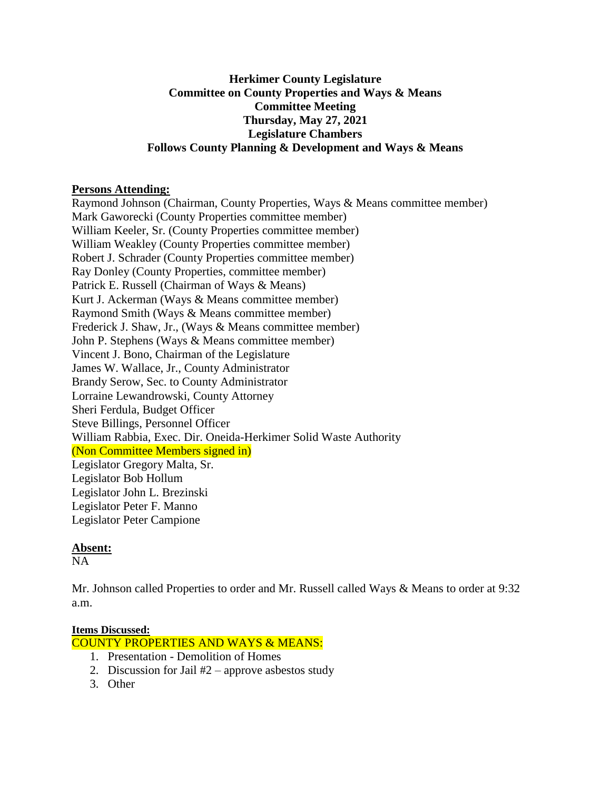### **Herkimer County Legislature Committee on County Properties and Ways & Means Committee Meeting Thursday, May 27, 2021 Legislature Chambers Follows County Planning & Development and Ways & Means**

#### **Persons Attending:**

Raymond Johnson (Chairman, County Properties, Ways & Means committee member) Mark Gaworecki (County Properties committee member) William Keeler, Sr. (County Properties committee member) William Weakley (County Properties committee member) Robert J. Schrader (County Properties committee member) Ray Donley (County Properties, committee member) Patrick E. Russell (Chairman of Ways & Means) Kurt J. Ackerman (Ways & Means committee member) Raymond Smith (Ways & Means committee member) Frederick J. Shaw, Jr., (Ways & Means committee member) John P. Stephens (Ways & Means committee member) Vincent J. Bono, Chairman of the Legislature James W. Wallace, Jr., County Administrator Brandy Serow, Sec. to County Administrator Lorraine Lewandrowski, County Attorney Sheri Ferdula, Budget Officer Steve Billings, Personnel Officer William Rabbia, Exec. Dir. Oneida-Herkimer Solid Waste Authority (Non Committee Members signed in) Legislator Gregory Malta, Sr. Legislator Bob Hollum Legislator John L. Brezinski Legislator Peter F. Manno Legislator Peter Campione

# **Absent:**

NA

Mr. Johnson called Properties to order and Mr. Russell called Ways & Means to order at 9:32 a.m.

#### **Items Discussed:**

COUNTY PROPERTIES AND WAYS & MEANS:

- 1. Presentation Demolition of Homes
- 2. Discussion for Jail  $#2$  approve asbestos study
- 3. Other